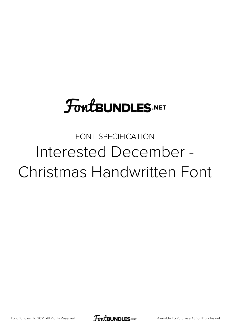# **FoutBUNDLES.NET**

## FONT SPECIFICATION Interested December - Christmas Handwritten Font

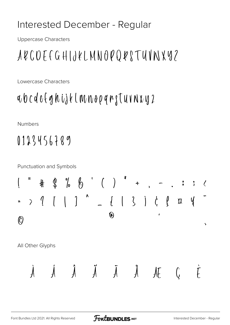#### Interested December - Regular

**Uppercase Characters** 

# A & C O E f G H I J K L M N O P Q R S T U V N X Y 2

Lowercase Characters

### a b c d e f g h i j k l m n o p q r g T u v n x y 2

**Numbers** 

### 0123456789

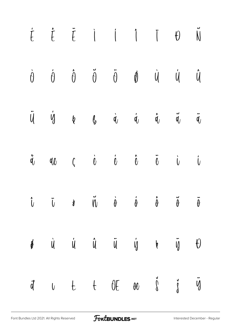|  |  | $\begin{array}{cccccccccccccc} \dot{f} & \dot{f} & \ddot{f} & \dot{1} & \dot{1} & \dot{1} & \dot{0} & \dot{\text{N}} \end{array}$                                                                                                                                                                                                                                                                                                                                               |  |  |
|--|--|---------------------------------------------------------------------------------------------------------------------------------------------------------------------------------------------------------------------------------------------------------------------------------------------------------------------------------------------------------------------------------------------------------------------------------------------------------------------------------|--|--|
|  |  | $\dot{\theta} \qquad \dot{\theta} \qquad \ddot{\theta} \qquad \ddot{\theta} \qquad \ddot{\theta} \qquad \dot{\theta} \qquad \dot{\theta} \qquad \dot{\theta} \qquad \dot{\theta}$                                                                                                                                                                                                                                                                                               |  |  |
|  |  | $\ddot{\mathsf{U}} \qquad \dot{\mathsf{Y}} \qquad \dot{\mathsf{Y}} \qquad \mathsf{Y} \qquad \mathsf{Y} \qquad \dot{\mathsf{Y}} \qquad \dot{\mathsf{Y}} \qquad \dot{\mathsf{Y}} \qquad \dot{\mathsf{Y}} \qquad \dot{\mathsf{Y}} \qquad \dot{\mathsf{Y}} \qquad \ddot{\mathsf{Y}} \qquad \ddot{\mathsf{Y}} \qquad \ddot{\mathsf{Y}} \qquad \mathsf{Y} \qquad \mathsf{Y} \qquad \mathsf{Y} \qquad \mathsf{Y} \qquad \mathsf{Y} \qquad \mathsf{Y} \qquad \mathsf{Y} \qquad \mathsf$ |  |  |
|  |  | $\mathring{q} \qquad q\ell \qquad \zeta \qquad \mathring{\ell} \qquad \mathring{\ell} \qquad \mathring{\ell} \qquad \mathring{\ell} \qquad \mathring{\ell} \qquad \mathring{\ell} \qquad \mathring{\ell}$                                                                                                                                                                                                                                                                       |  |  |
|  |  | $\tilde{\theta}$ $\tilde{\theta}$ $\dot{\theta}$ $\dot{\theta}$ $\dot{\theta}$ $\ddot{\theta}$ $\ddot{\theta}$ $\ddot{\theta}$                                                                                                                                                                                                                                                                                                                                                  |  |  |
|  |  | $\oint$ ù ú û $\ddot{u}$ $\dot{u}$ $\dot{y}$ $\dot{y}$ $\theta$                                                                                                                                                                                                                                                                                                                                                                                                                 |  |  |
|  |  | đutt OE oe ji                                                                                                                                                                                                                                                                                                                                                                                                                                                                   |  |  |